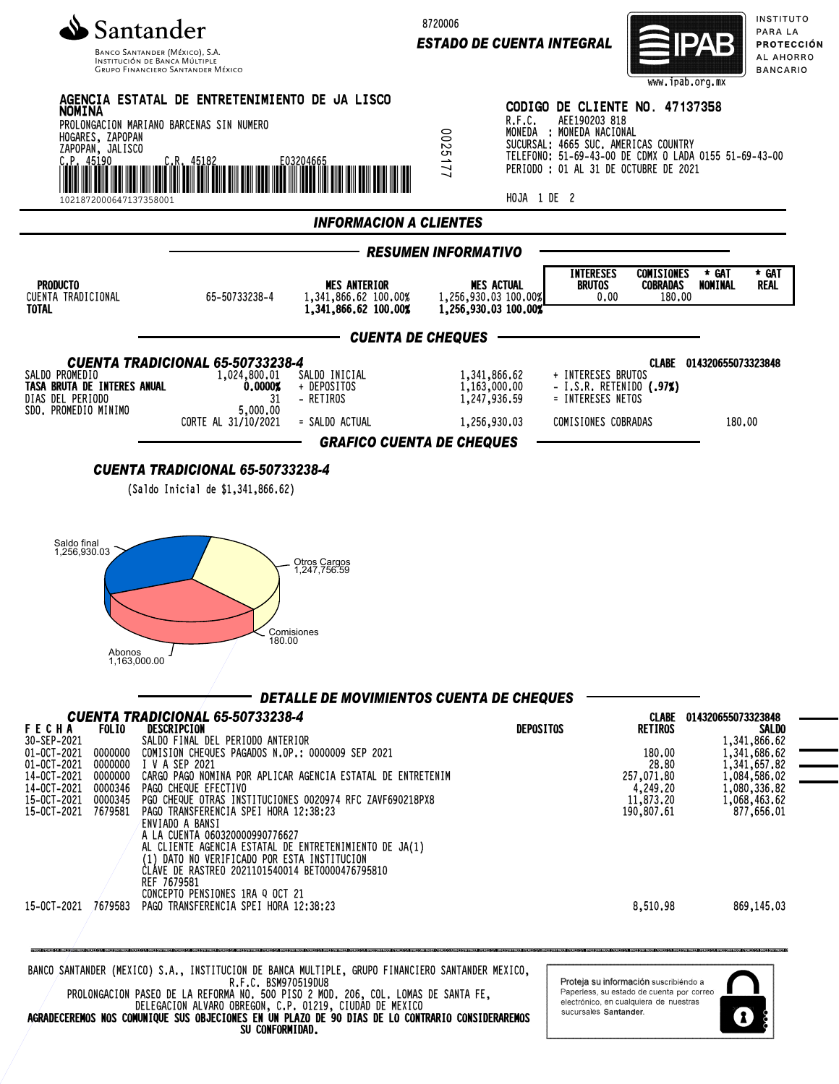

INSTITUCIÓN DE BANCA MÚLTIP **GRUPO FINANCIERO SANTANDER MÉXICO**  8720006

*ESTADO DE CUENTA INTEGRAL*



INSTITUTO PARA LA PROTECCIÓN AL AHORRO **BANCARIO** 



DELEGACION ALVARO OBREGON, C.P. 01219, CIUDAD DE MEXICO AGRADECEREMOS NOS COMUNIQUE SUS OBJECIONES EN UN PLAZO DE 90 DIAS DE LO CONTRARIO CONSIDERAREMOS SU CONFORMIDAD.

sucursales Santander

1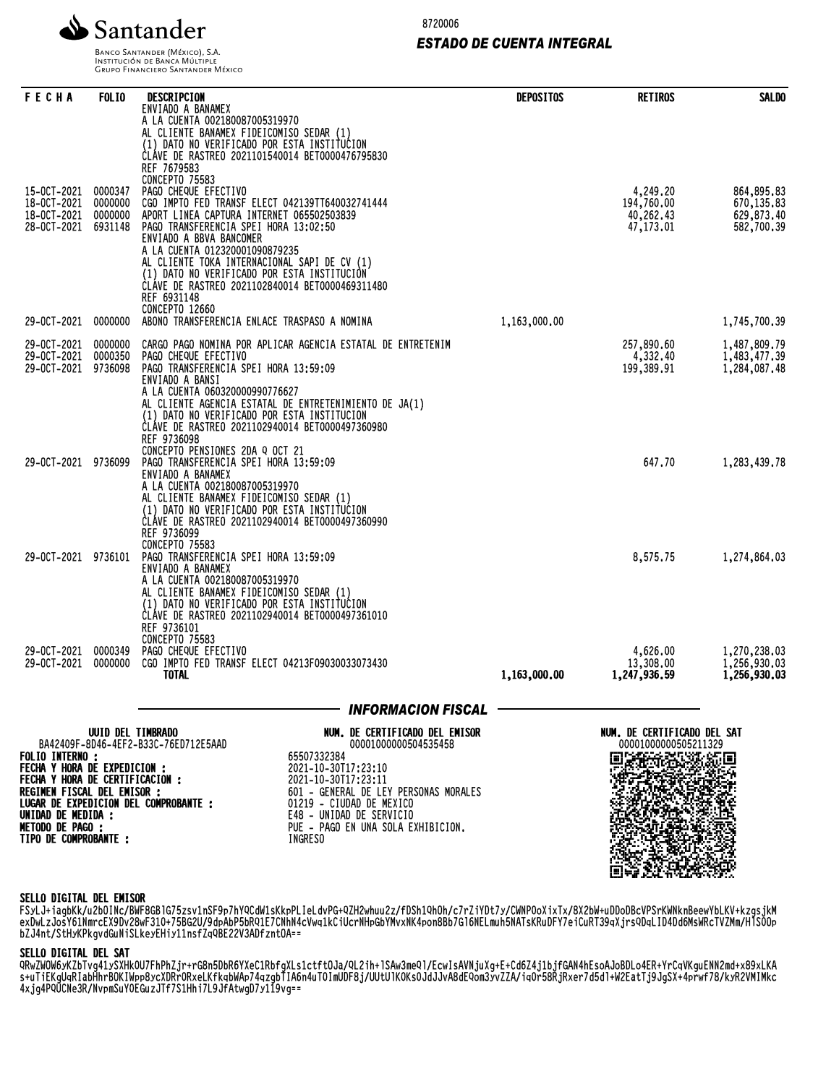

**INSTITUCIÓN DE BANCA MÚLTIPLE**<br>INSTITUCIÓN DE BANCA MÚLTIPLE<br>GRUPO FINANCIERO SANTANDER MÉXICO

8720006

### *ESTADO DE CUENTA INTEGRAL*

| FECHA                                                         | <b>FOLIO</b>                  | DESCRIPCION<br>ENVIADO A BANAMEX                                                                                                                                                                                                                                                                                                                                    | <b>DEPOSITOS</b> | <b>RETIROS</b>                                      | <b>SALDO</b>                                 |
|---------------------------------------------------------------|-------------------------------|---------------------------------------------------------------------------------------------------------------------------------------------------------------------------------------------------------------------------------------------------------------------------------------------------------------------------------------------------------------------|------------------|-----------------------------------------------------|----------------------------------------------|
| 15-0CT-2021                                                   | 0000347                       | A LA CUENTA 002180087005319970<br>AL CLIENTE BANAMEX FIDEICOMISO SEDAR (1)<br>(1) DATO NO VERIFICADO POR ESTA INSTITUCION<br>CLAVE DE RASTREO 2021101540014 BET0000476795830<br>REF 7679583<br><b>CONCEPTO 75583</b><br>PAGO CHEQUE EFECTIVO                                                                                                                        |                  | 4,249.20                                            | 864,895,83                                   |
| 18-0CT-2021<br>18-0CT-2021<br>28-OCT-2021                     | 0000000<br>0000000<br>6931148 | CGO IMPTO FED TRANSF ELECT 042139TT640032741444<br>APORT LINEA CAPTURA INTERNET 065502503839<br>PAGO TRANSFERENCIA SPEI HORA 13:02:50<br>ENVIADO A BBVA BANCOMER<br>A LA CUENTA 012320001090879235<br>AL CLIENTE TOKA INTERNACIONAL SAPI DE CV (1)<br>(1) DATO NO VERIFICADO POR ESTA INSTITUCIÓN<br>ČLÁVE DE RASTREO 2021102840014 BET0000469311480<br>REF 6931148 |                  | 194,760.00<br>40,262.43<br>47, 173.01               | 670, 135.83<br>629,873.40<br>582,700.39      |
| 29-OCT-2021                                                   | 0000000                       | <b>CONCEPTO 12660</b><br>ABONO TRANSFERENCIA ENLACE TRASPASO A NOMINA                                                                                                                                                                                                                                                                                               | 1,163,000.00     |                                                     | 1,745,700.39                                 |
| 29-OCT-2021<br>29-OCT-2021<br>29-0CT-2021                     | 0000000<br>0000350<br>9736098 | CARGO PAGO NOMINA POR APLICAR AGENCIA ESTATAL DE ENTRETENIM<br>PAGO CHEQUE EFECTIVO<br>PAGO TRANSFERENCIA SPEI HORA 13:59:09<br>ENVIADO A BANSI<br>A LA CUENTA 060320000990776627<br>AL CLIENTE AGENCIA ESTATAL DE ENTRETENIMIENTO DE JA(1)<br>(1) DATO NO VERIFICADO POR ESTA INSTITUCION<br>ĆLÁVE DE RASTREO 2021102940014 BET0000497360980<br>REF 9736098        |                  | 257,890,60<br>4,332.40<br>199,389.91                | 1,487,809.79<br>1,483,477.39<br>1,284,087.48 |
| 29-0CT-2021 9736099                                           |                               | CONCEPTO PENSIONES 2DA Q OCT 21<br>PAGO TRANSFERENCIA SPEI HORA 13:59:09<br>ENVIADO A BANAMEX<br>A LA CUENTA 002180087005319970<br>AL CLIENTE BANAMEX FIDEICOMISO SEDAR (1)<br>(1) DATO NO VERIFICADO POR ESTA INSTITUCION<br>ČLÁVE DE RASTREO 2021102940014 BET0000497360990<br>REF 9736099<br>CONCEPTO 75583                                                      |                  | 647.70                                              | 1,283,439.78                                 |
| 29-OCT-2021 9736101                                           |                               | PAGO TRANSFERENCIA SPEI HORA 13:59:09<br>ENVIADO A BANAMEX<br>A LA CUENTA 002180087005319970<br>AL CLIENTE BANAMEX FIDEICOMISO SEDAR (1)<br>(1) DATO NO VERIFICADO POR ESTA INSTITUCION<br>ČLÁVE DE RASTREO 2021102940014 BET0000497361010<br>REF 9736101<br>CONCEPTO 75583                                                                                         |                  | 8,575.75                                            | 1,274,864.03                                 |
| 29-OCT-2021<br>29-OCT-2021                                    | 0000349<br>0000000            | PAGO CHEQUE EFECTIVO<br>CGO IMPTO FED TRANSF ELECT 04213F09030033073430<br>TOTAL                                                                                                                                                                                                                                                                                    | 1,163,000.00     | 4,626.00<br>13,308.00<br>1,247,936.59               | 1,270,238.03<br>1,256,930.03<br>1,256,930.03 |
|                                                               |                               | <b>INFORMACION FISCAL</b>                                                                                                                                                                                                                                                                                                                                           |                  |                                                     |                                              |
|                                                               | UUID DEL TIMBRADO             | NUM. DE CERTIFICADO DEL EMISOR<br>BA42409F-8D46-4EF2-B33C-76ED712E5AAD<br>00001000000504535458                                                                                                                                                                                                                                                                      |                  | NUM. DE CERTIFICADO DEL SAT<br>00001000000505211329 |                                              |
| <b>FOLIO INTERNO :</b><br><b>FECHA Y HORA DE EXPEDICION :</b> |                               | 65507332384<br>2021-10-30T17:23:10                                                                                                                                                                                                                                                                                                                                  |                  | 回 <i>演技化</i> 数数通                                    | 86 G.C                                       |

FOLIO INTERNO : FECHA Y HORA DE EXPEDICION : FECHA Y HORA DE CERTIFICACION : REGIMEN FISCAL DEL EMISOR : LUGAR DE EXPEDICION DEL COMPROBANTE : UNIDAD DE MEDIDA : METODO DE PAGO : TIPO DE COMPROBANTE :

2021-10-30T17:23:10 2021-10-30T17:23:11 601 - GENERAL DE LEY PERSONAS MORALES 01219 - CIUDAD DE MEXICO E48 - UNIDAD DE SERVICIO PUE - PAGO EN UNA SOLA EXHIBICION. INGRESO

# jcbZjpSMhKQz6I2cwNEaDCILj15TGbPjcbZ ZlXZ5slzoxhdbjrarL;D9CLGvRAi::XZlXZ zcbRxwRVuyQSTZvQuSxwZRWVSYwYwVQbzcR XP1IuSRt1ry633LICV4YtDzNHt7VxET8K52 Tumgf1cWx8kJsvJvqWfcKahRc38lF7qb0jX XFeL8yX5pMk6tHnTgODj9rTyjEdoaM6pW;: 4l1g08rg0:FZnOgSFQ;e0kcrFgmKLzHlEX8 45c84D9Wkd5USUdY;JLyRsqPesCkVAWNK2P 68LbIIOGYG0FDbKwMD08fZNCxY5H4fKF1qP fIMp4SxxE1kQmfA;2Pv1LpV5Ijfk0dkZeSR tpsSFQO9HgYMsJeOWOxCM;d1WOL4DtuO:v0 WzZ8yhqg8n2ZfQWXZ8nb0zI4QLiHB8Z8kW0 kFegdwD;cNd5;0CHcigOq1vAxc4CIccaSBX peapMfV;c4mEeQZDoKsuH:eOM44RTjkXiTR iCYRY79JFvWkD5ro7XsiaPTlrnI;arJICm: DX8MCGBPEU0wnbTLkZIHjUpao:Jc6Uf68WP XQGVau4t4BzjU6pmkLIanaFrnV48t6YIbM8 MQcLJ2zt03PMBH85gmWXME0x94UWtzWfHj2 v5Dg;wqlMtAcuhRAvmJNHz6vBQq6Iza8LO0 JXvIyjawV06MNnKSH29GeKTMUpFf::LCASP SCSRpf6T8am:WAX2jbo3GY3xYVMYIWjbj;X Zs:Z;CaW0dyRRyQAvqlJhslNjA2ce9wryTP ucSZdzOj1xSFru2eetHk7uJdgTD:IQnA190

### SELLO DIGITAL DEL EMISOR

FSyLJ+iagbKk/u2bOINc/BWF8GBlG75zsv1nSF9p7hYQCdW1sKkpPLIeLdvPG+QZH2whuu2z/fDSh1QhOh/c7rZiYDt7y/CWNP0oXixTx/8X2bW+uDDoDBcVPSrKWNknBeewYbLKV+kzgsjkM exDwLzJOSY01NMrcEX9DvZ8wF310+/3D5ZU/9dpAbP3DRQ1E/CNNN4CVWq1kCiUCrNHpGbYMVXNK4pon8Bb/Gi0NELMun3NATSKRUDFY/eiCuRT39qXjrsQDqL1D4Dd0MsWRCTVZMM/HISOUP bZJ4nt/StHyKPkgvdGuNiSLkeyEHiy11nsfZqQBE22V3ADfzntOA==

### SELLO DIGITAL DEL SAT

QRwZWOW6yKZbTvg41ySXHk0U7FhPhZjr+rG8n5DbR6YXeC1RbfgXLs1ctftOJa/QL2ih+lSAw3meQl/EcwIsAVNjuXg+E+Cd6Z4j1bjfGAN4hEsoAJoBDLo4ER+YrCqVKguENN2md+x89xLKA S+uTiEKgUqRIaDMNTDUKIWPP8yCAURFURXeLKTKqDWAP/4qZgDTIA0N4UT0IMUDF8j/UUtUTKUKSUJdJJVA8dEQOM3yVZZA/iqUF38RjRXer/d3dl+WZEatTj9JgSX+4pfWT/8/KyRZVMIMKC 4xjg4PQUCNe3R/NvpmSuY0EGuzJTf7S1Hhi7L9JfAtwgD7y119vg==